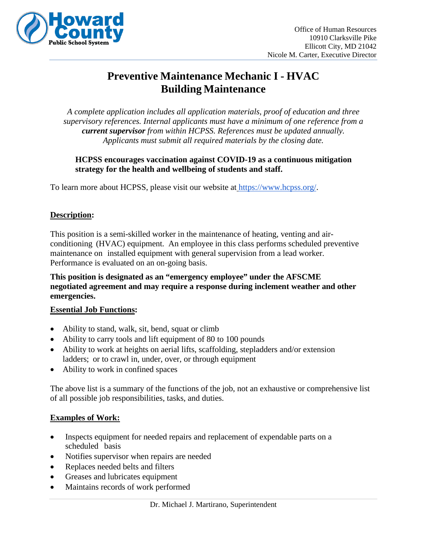

# **Preventive Maintenance Mechanic I - HVAC Building Maintenance**

*A complete application includes all application materials, proof of education and three supervisory references. Internal applicants must have a minimum of one reference from a current supervisor from within HCPSS. References must be updated annually. Applicants must submit all required materials by the closing date.*

**HCPSS encourages vaccination against COVID-19 as a continuous mitigation strategy for the health and wellbeing of students and staff.**

To learn more about HCPSS, please visit our website at [https://www.hcpss.org/.](https://www.hcpss.org/)

# **Description:**

This position is a semi-skilled worker in the maintenance of heating, venting and airconditioning (HVAC) equipment. An employee in this class performs scheduled preventive maintenance on installed equipment with general supervision from a lead worker. Performance is evaluated on an on-going basis.

**This position is designated as an "emergency employee" under the AFSCME negotiated agreement and may require a response during inclement weather and other emergencies.**

#### **Essential Job Functions:**

- Ability to stand, walk, sit, bend, squat or climb
- Ability to carry tools and lift equipment of 80 to 100 pounds
- Ability to work at heights on aerial lifts, scaffolding, stepladders and/or extension ladders; or to crawl in, under, over, or through equipment
- Ability to work in confined spaces

The above list is a summary of the functions of the job, not an exhaustive or comprehensive list of all possible job responsibilities, tasks, and duties.

# **Examples of Work:**

- Inspects equipment for needed repairs and replacement of expendable parts on a scheduled basis
- Notifies supervisor when repairs are needed
- Replaces needed belts and filters
- Greases and lubricates equipment
- Maintains records of work performed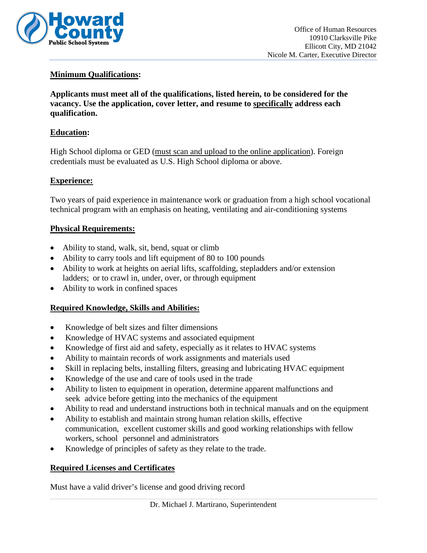

### **Minimum Qualifications:**

**Applicants must meet all of the qualifications, listed herein, to be considered for the vacancy. Use the application, cover letter, and resume to specifically address each qualification.**

#### **Education:**

High School diploma or GED (must scan and upload to the online application). Foreign credentials must be evaluated as U.S. High School diploma or above.

# **Experience:**

Two years of paid experience in maintenance work or graduation from a high school vocational technical program with an emphasis on heating, ventilating and air-conditioning systems

#### **Physical Requirements:**

- Ability to stand, walk, sit, bend, squat or climb
- Ability to carry tools and lift equipment of 80 to 100 pounds
- Ability to work at heights on aerial lifts, scaffolding, stepladders and/or extension ladders; or to crawl in, under, over, or through equipment
- Ability to work in confined spaces

#### **Required Knowledge, Skills and Abilities:**

- Knowledge of belt sizes and filter dimensions
- Knowledge of HVAC systems and associated equipment
- Knowledge of first aid and safety, especially as it relates to HVAC systems
- Ability to maintain records of work assignments and materials used
- Skill in replacing belts, installing filters, greasing and lubricating HVAC equipment
- Knowledge of the use and care of tools used in the trade
- Ability to listen to equipment in operation, determine apparent malfunctions and seek advice before getting into the mechanics of the equipment
- Ability to read and understand instructions both in technical manuals and on the equipment
- Ability to establish and maintain strong human relation skills, effective communication, excellent customer skills and good working relationships with fellow workers, school personnel and administrators
- Knowledge of principles of safety as they relate to the trade.

#### **Required Licenses and Certificates**

Must have a valid driver's license and good driving record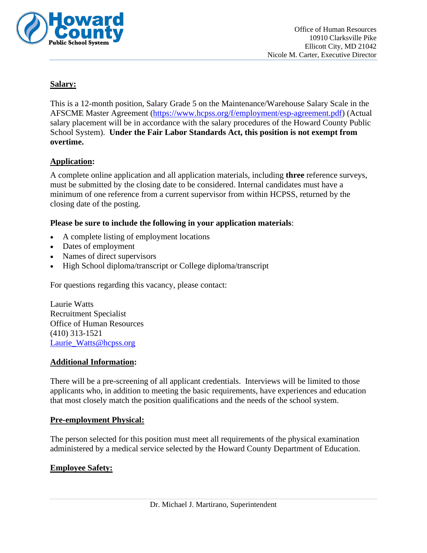

#### **Salary:**

This is a 12-month position, Salary Grade 5 on the Maintenance/Warehouse Salary Scale in the AFSCME Master Agreement [\(https://www.hcpss.org/f/employment/esp-agreement.pdf\)](https://www.hcpss.org/f/employment/esp-agreement.pdf) (Actual salary placement will be in accordance with the salary procedures of the Howard County Public School System). **Under the Fair Labor Standards Act, this position is not exempt from overtime.**

#### **Application:**

A complete online application and all application materials, including **three** reference surveys, must be submitted by the closing date to be considered. Internal candidates must have a minimum of one reference from a current supervisor from within HCPSS, returned by the closing date of the posting.

#### **Please be sure to include the following in your application materials**:

- A complete listing of employment locations
- Dates of employment
- Names of direct supervisors
- High School diploma/transcript or College diploma/transcript

For questions regarding this vacancy, please contact:

Laurie Watts Recruitment Specialist Office of Human Resources (410) 313-1521 Laurie Watts@hcpss.org

#### **Additional Information:**

There will be a pre-screening of all applicant credentials. Interviews will be limited to those applicants who, in addition to meeting the basic requirements, have experiences and education that most closely match the position qualifications and the needs of the school system.

#### **Pre-employment Physical:**

The person selected for this position must meet all requirements of the physical examination administered by a medical service selected by the Howard County Department of Education.

#### **Employee Safety:**